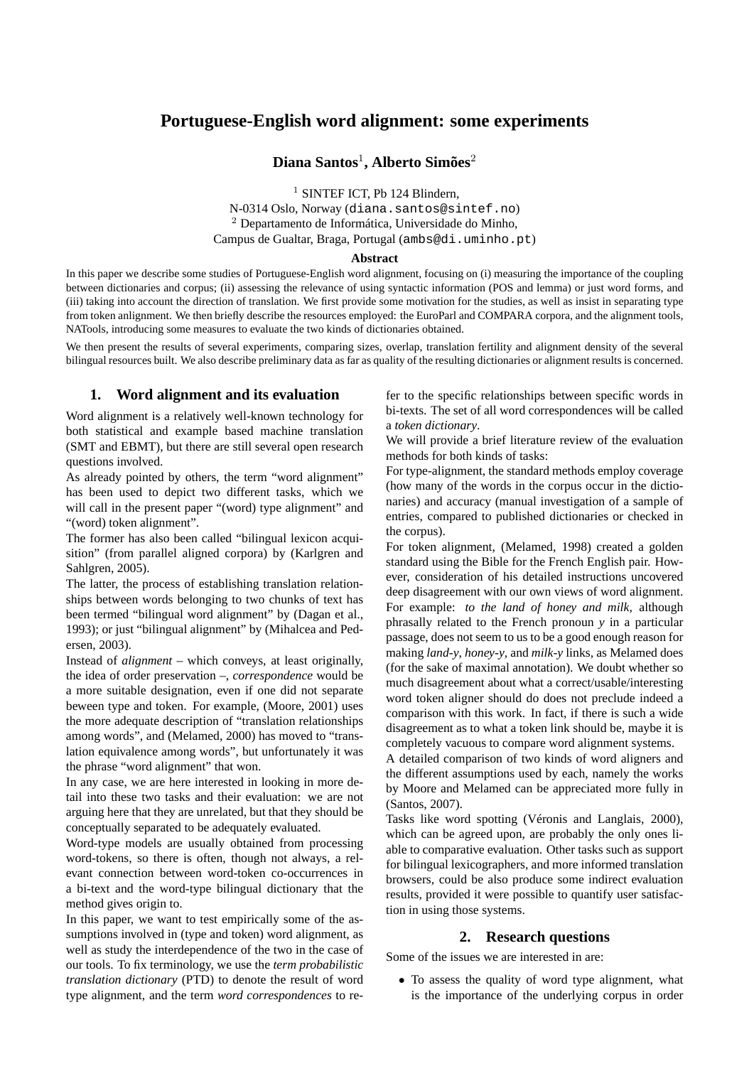# **Portuguese-English word alignment: some experiments**

## **Diana Santos**<sup>1</sup> **, Alberto Simões**<sup>2</sup>

<sup>1</sup> SINTEF ICT, Pb 124 Blindern, N-0314 Oslo, Norway (diana.santos@sintef.no) <sup>2</sup> Departamento de Informática, Universidade do Minho, Campus de Gualtar, Braga, Portugal (ambs@di.uminho.pt)

#### **Abstract**

In this paper we describe some studies of Portuguese-English word alignment, focusing on (i) measuring the importance of the coupling between dictionaries and corpus; (ii) assessing the relevance of using syntactic information (POS and lemma) or just word forms, and (iii) taking into account the direction of translation. We first provide some motivation for the studies, as well as insist in separating type from token anlignment. We then briefly describe the resources employed: the EuroParl and COMPARA corpora, and the alignment tools, NATools, introducing some measures to evaluate the two kinds of dictionaries obtained.

We then present the results of several experiments, comparing sizes, overlap, translation fertility and alignment density of the several bilingual resources built. We also describe preliminary data as far as quality of the resulting dictionaries or alignment results is concerned.

## **1. Word alignment and its evaluation**

Word alignment is a relatively well-known technology for both statistical and example based machine translation (SMT and EBMT), but there are still several open research questions involved.

As already pointed by others, the term "word alignment" has been used to depict two different tasks, which we will call in the present paper "(word) type alignment" and "(word) token alignment".

The former has also been called "bilingual lexicon acquisition" (from parallel aligned corpora) by (Karlgren and Sahlgren, 2005).

The latter, the process of establishing translation relationships between words belonging to two chunks of text has been termed "bilingual word alignment" by (Dagan et al., 1993); or just "bilingual alignment" by (Mihalcea and Pedersen, 2003).

Instead of *alignment* – which conveys, at least originally, the idea of order preservation –, *correspondence* would be a more suitable designation, even if one did not separate beween type and token. For example, (Moore, 2001) uses the more adequate description of "translation relationships among words", and (Melamed, 2000) has moved to "translation equivalence among words", but unfortunately it was the phrase "word alignment" that won.

In any case, we are here interested in looking in more detail into these two tasks and their evaluation: we are not arguing here that they are unrelated, but that they should be conceptually separated to be adequately evaluated.

Word-type models are usually obtained from processing word-tokens, so there is often, though not always, a relevant connection between word-token co-occurrences in a bi-text and the word-type bilingual dictionary that the method gives origin to.

In this paper, we want to test empirically some of the assumptions involved in (type and token) word alignment, as well as study the interdependence of the two in the case of our tools. To fix terminology, we use the *term probabilistic translation dictionary* (PTD) to denote the result of word type alignment, and the term *word correspondences* to refer to the specific relationships between specific words in bi-texts. The set of all word correspondences will be called a *token dictionary*.

We will provide a brief literature review of the evaluation methods for both kinds of tasks:

For type-alignment, the standard methods employ coverage (how many of the words in the corpus occur in the dictionaries) and accuracy (manual investigation of a sample of entries, compared to published dictionaries or checked in the corpus).

For token alignment, (Melamed, 1998) created a golden standard using the Bible for the French English pair. However, consideration of his detailed instructions uncovered deep disagreement with our own views of word alignment. For example: *to the land of honey and milk*, although phrasally related to the French pronoun *y* in a particular passage, does not seem to us to be a good enough reason for making *land-y*, *honey-y*, and *milk-y* links, as Melamed does (for the sake of maximal annotation). We doubt whether so much disagreement about what a correct/usable/interesting word token aligner should do does not preclude indeed a comparison with this work. In fact, if there is such a wide disagreement as to what a token link should be, maybe it is completely vacuous to compare word alignment systems.

A detailed comparison of two kinds of word aligners and the different assumptions used by each, namely the works by Moore and Melamed can be appreciated more fully in (Santos, 2007).

Tasks like word spotting (Véronis and Langlais, 2000), which can be agreed upon, are probably the only ones liable to comparative evaluation. Other tasks such as support for bilingual lexicographers, and more informed translation browsers, could be also produce some indirect evaluation results, provided it were possible to quantify user satisfaction in using those systems.

## **2. Research questions**

Some of the issues we are interested in are:

• To assess the quality of word type alignment, what is the importance of the underlying corpus in order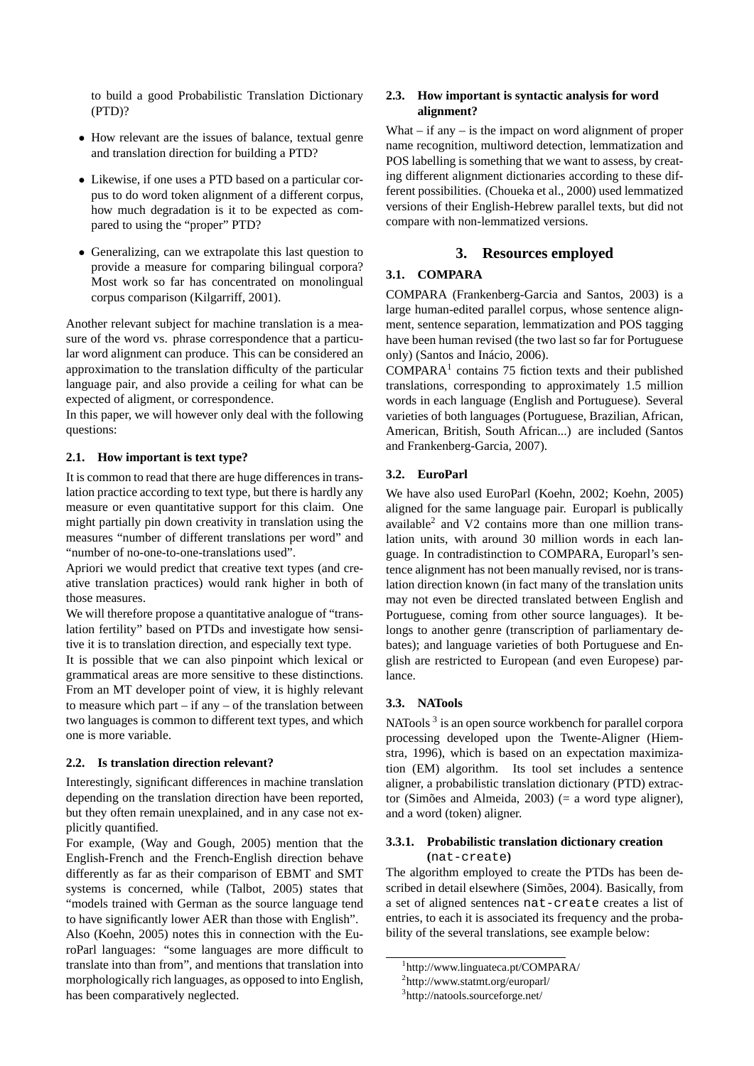to build a good Probabilistic Translation Dictionary (PTD)?

- How relevant are the issues of balance, textual genre and translation direction for building a PTD?
- Likewise, if one uses a PTD based on a particular corpus to do word token alignment of a different corpus, how much degradation is it to be expected as compared to using the "proper" PTD?
- Generalizing, can we extrapolate this last question to provide a measure for comparing bilingual corpora? Most work so far has concentrated on monolingual corpus comparison (Kilgarriff, 2001).

Another relevant subject for machine translation is a measure of the word vs. phrase correspondence that a particular word alignment can produce. This can be considered an approximation to the translation difficulty of the particular language pair, and also provide a ceiling for what can be expected of aligment, or correspondence.

In this paper, we will however only deal with the following questions:

#### **2.1. How important is text type?**

It is common to read that there are huge differences in translation practice according to text type, but there is hardly any measure or even quantitative support for this claim. One might partially pin down creativity in translation using the measures "number of different translations per word" and "number of no-one-to-one-translations used".

Apriori we would predict that creative text types (and creative translation practices) would rank higher in both of those measures.

We will therefore propose a quantitative analogue of "translation fertility" based on PTDs and investigate how sensitive it is to translation direction, and especially text type.

It is possible that we can also pinpoint which lexical or grammatical areas are more sensitive to these distinctions. From an MT developer point of view, it is highly relevant to measure which part – if any – of the translation between two languages is common to different text types, and which one is more variable.

#### **2.2. Is translation direction relevant?**

Interestingly, significant differences in machine translation depending on the translation direction have been reported, but they often remain unexplained, and in any case not explicitly quantified.

For example, (Way and Gough, 2005) mention that the English-French and the French-English direction behave differently as far as their comparison of EBMT and SMT systems is concerned, while (Talbot, 2005) states that "models trained with German as the source language tend to have significantly lower AER than those with English".

Also (Koehn, 2005) notes this in connection with the EuroParl languages: "some languages are more difficult to translate into than from", and mentions that translation into morphologically rich languages, as opposed to into English, has been comparatively neglected.

#### **2.3. How important is syntactic analysis for word alignment?**

What  $-$  if any  $-$  is the impact on word alignment of proper name recognition, multiword detection, lemmatization and POS labelling is something that we want to assess, by creating different alignment dictionaries according to these different possibilities. (Choueka et al., 2000) used lemmatized versions of their English-Hebrew parallel texts, but did not compare with non-lemmatized versions.

## **3. Resources employed**

## **3.1. COMPARA**

COMPARA (Frankenberg-Garcia and Santos, 2003) is a large human-edited parallel corpus, whose sentence alignment, sentence separation, lemmatization and POS tagging have been human revised (the two last so far for Portuguese only) (Santos and Inácio, 2006).

 $COMPARA<sup>1</sup>$  contains 75 fiction texts and their published translations, corresponding to approximately 1.5 million words in each language (English and Portuguese). Several varieties of both languages (Portuguese, Brazilian, African, American, British, South African...) are included (Santos and Frankenberg-Garcia, 2007).

## **3.2. EuroParl**

We have also used EuroParl (Koehn, 2002; Koehn, 2005) aligned for the same language pair. Europarl is publically available<sup>2</sup> and V2 contains more than one million translation units, with around 30 million words in each language. In contradistinction to COMPARA, Europarl's sentence alignment has not been manually revised, nor is translation direction known (in fact many of the translation units may not even be directed translated between English and Portuguese, coming from other source languages). It belongs to another genre (transcription of parliamentary debates); and language varieties of both Portuguese and English are restricted to European (and even Europese) parlance.

### **3.3. NATools**

NATools<sup>3</sup> is an open source workbench for parallel corpora processing developed upon the Twente-Aligner (Hiemstra, 1996), which is based on an expectation maximization (EM) algorithm. Its tool set includes a sentence aligner, a probabilistic translation dictionary (PTD) extractor (Simões and Almeida, 2003) (= a word type aligner), and a word (token) aligner.

# **3.3.1. Probabilistic translation dictionary creation**

**(**nat-create**)**

The algorithm employed to create the PTDs has been described in detail elsewhere (Simões, 2004). Basically, from a set of aligned sentences nat-create creates a list of entries, to each it is associated its frequency and the probability of the several translations, see example below:

<sup>1</sup> http://www.linguateca.pt/COMPARA/

<sup>2</sup> http://www.statmt.org/europarl/

<sup>3</sup> http://natools.sourceforge.net/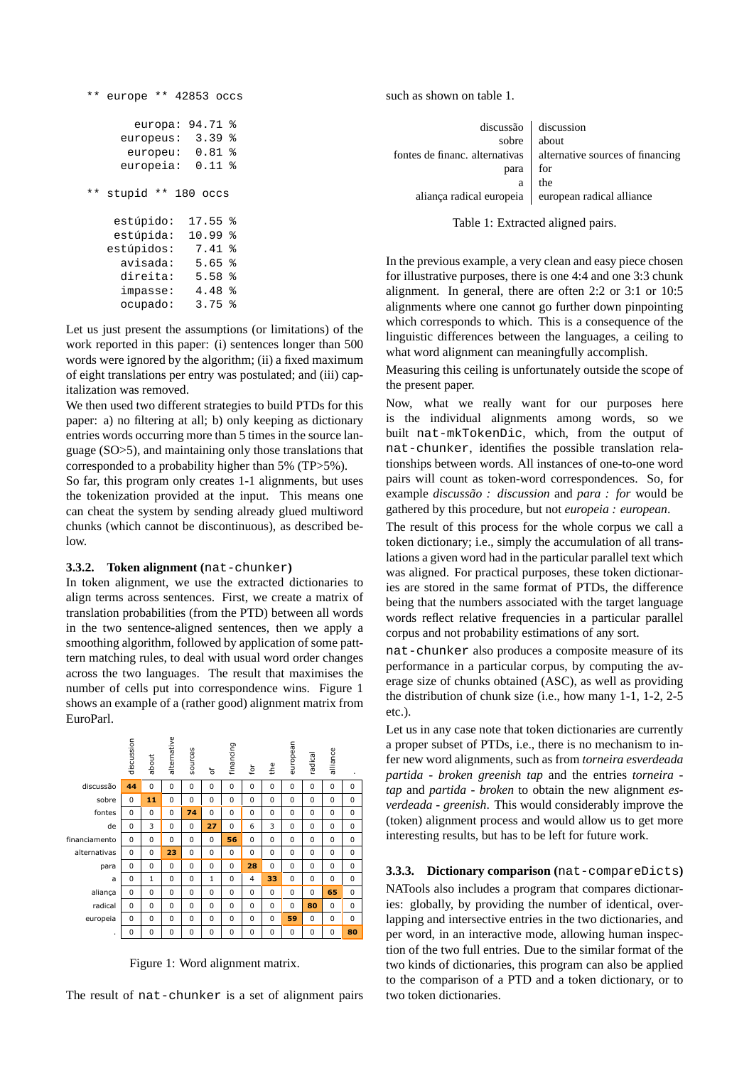```
** europe ** 42853 occs
      europa: 94.71 %
    europeus: 3.39 %
     europeu: 0.81 %
    europeia: 0.11 %
** stupid ** 180 occs
   estúpido: 17.55 %
   estúpida: 10.99 %
  estúpidos: 7.41 %
    avisada: 5.65 %
    direita: 5.58 %
    impasse: 4.48 %
    ocupado: 3.75 %
```
Let us just present the assumptions (or limitations) of the work reported in this paper: (i) sentences longer than 500 words were ignored by the algorithm; (ii) a fixed maximum of eight translations per entry was postulated; and (iii) capitalization was removed.

We then used two different strategies to build PTDs for this paper: a) no filtering at all; b) only keeping as dictionary entries words occurring more than 5 times in the source language (SO>5), and maintaining only those translations that corresponded to a probability higher than 5% (TP>5%).

So far, this program only creates 1-1 alignments, but uses the tokenization provided at the input. This means one can cheat the system by sending already glued multiword chunks (which cannot be discontinuous), as described below.

#### **3.3.2. Token alignment (**nat-chunker**)**

In token alignment, we use the extracted dictionaries to align terms across sentences. First, we create a matrix of translation probabilities (from the PTD) between all words in the two sentence-aligned sentences, then we apply a smoothing algorithm, followed by application of some patttern matching rules, to deal with usual word order changes across the two languages. The result that maximises the number of cells put into correspondence wins. Figure 1 shows an example of a (rather good) alignment matrix from EuroParl.



Figure 1: Word alignment matrix.

The result of nat-chunker is a set of alignment pairs

such as shown on table 1.

|      | $discussão$ discussion                                            |
|------|-------------------------------------------------------------------|
|      | sobre   about                                                     |
|      | fontes de financ. alternativas   alternative sources of financing |
| para | $\Big $ for<br>the                                                |
| a    |                                                                   |
|      | aliança radical europeia   european radical alliance              |
|      |                                                                   |

Table 1: Extracted aligned pairs.

In the previous example, a very clean and easy piece chosen for illustrative purposes, there is one 4:4 and one 3:3 chunk alignment. In general, there are often 2:2 or 3:1 or 10:5 alignments where one cannot go further down pinpointing which corresponds to which. This is a consequence of the linguistic differences between the languages, a ceiling to what word alignment can meaningfully accomplish.

Measuring this ceiling is unfortunately outside the scope of the present paper.

Now, what we really want for our purposes here is the individual alignments among words, so we built nat-mkTokenDic, which, from the output of nat-chunker, identifies the possible translation relationships between words. All instances of one-to-one word pairs will count as token-word correspondences. So, for example *discussão : discussion* and *para : for* would be gathered by this procedure, but not *europeia : european*.

The result of this process for the whole corpus we call a token dictionary; i.e., simply the accumulation of all translations a given word had in the particular parallel text which was aligned. For practical purposes, these token dictionaries are stored in the same format of PTDs, the difference being that the numbers associated with the target language words reflect relative frequencies in a particular parallel corpus and not probability estimations of any sort.

nat-chunker also produces a composite measure of its performance in a particular corpus, by computing the average size of chunks obtained (ASC), as well as providing the distribution of chunk size (i.e., how many 1-1, 1-2, 2-5 etc.).

Let us in any case note that token dictionaries are currently a proper subset of PTDs, i.e., there is no mechanism to infer new word alignments, such as from *torneira esverdeada partida* - *broken greenish tap* and the entries *torneira tap* and *partida - broken* to obtain the new alignment *esverdeada - greenish*. This would considerably improve the (token) alignment process and would allow us to get more interesting results, but has to be left for future work.

**3.3.3. Dictionary comparison (**nat-compareDicts**)** NATools also includes a program that compares dictionaries: globally, by providing the number of identical, overlapping and intersective entries in the two dictionaries, and per word, in an interactive mode, allowing human inspection of the two full entries. Due to the similar format of the two kinds of dictionaries, this program can also be applied to the comparison of a PTD and a token dictionary, or to two token dictionaries.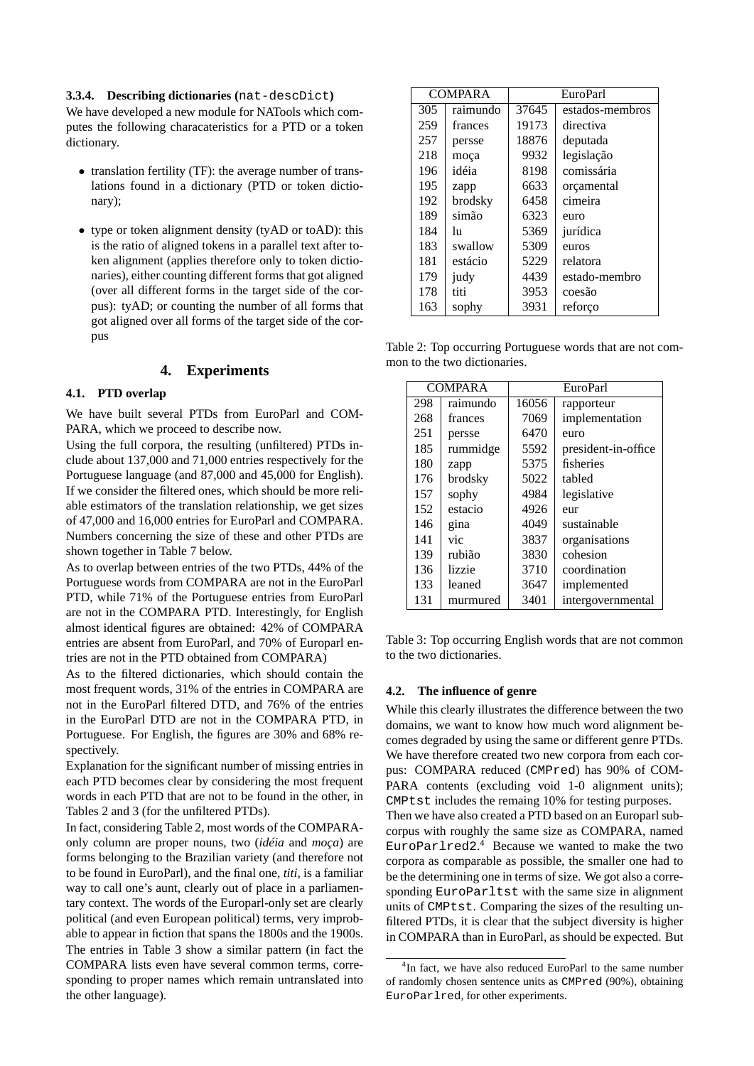#### **3.3.4. Describing dictionaries (**nat-descDict**)**

We have developed a new module for NATools which computes the following characateristics for a PTD or a token dictionary.

- translation fertility (TF): the average number of translations found in a dictionary (PTD or token dictionary);
- type or token alignment density (tyAD or toAD): this is the ratio of aligned tokens in a parallel text after token alignment (applies therefore only to token dictionaries), either counting different forms that got aligned (over all different forms in the target side of the corpus): tyAD; or counting the number of all forms that got aligned over all forms of the target side of the corpus

## **4. Experiments**

#### **4.1. PTD overlap**

We have built several PTDs from EuroParl and COM-PARA, which we proceed to describe now.

Using the full corpora, the resulting (unfiltered) PTDs include about 137,000 and 71,000 entries respectively for the Portuguese language (and 87,000 and 45,000 for English). If we consider the filtered ones, which should be more reliable estimators of the translation relationship, we get sizes of 47,000 and 16,000 entries for EuroParl and COMPARA. Numbers concerning the size of these and other PTDs are shown together in Table 7 below.

As to overlap between entries of the two PTDs, 44% of the Portuguese words from COMPARA are not in the EuroParl PTD, while 71% of the Portuguese entries from EuroParl are not in the COMPARA PTD. Interestingly, for English almost identical figures are obtained: 42% of COMPARA entries are absent from EuroParl, and 70% of Europarl entries are not in the PTD obtained from COMPARA)

As to the filtered dictionaries, which should contain the most frequent words, 31% of the entries in COMPARA are not in the EuroParl filtered DTD, and 76% of the entries in the EuroParl DTD are not in the COMPARA PTD, in Portuguese. For English, the figures are 30% and 68% respectively.

Explanation for the significant number of missing entries in each PTD becomes clear by considering the most frequent words in each PTD that are not to be found in the other, in Tables 2 and 3 (for the unfiltered PTDs).

In fact, considering Table 2, most words of the COMPARAonly column are proper nouns, two (*idéia* and *moça*) are forms belonging to the Brazilian variety (and therefore not to be found in EuroParl), and the final one, *titi*, is a familiar way to call one's aunt, clearly out of place in a parliamentary context. The words of the Europarl-only set are clearly political (and even European political) terms, very improbable to appear in fiction that spans the 1800s and the 1900s. The entries in Table 3 show a similar pattern (in fact the COMPARA lists even have several common terms, corresponding to proper names which remain untranslated into the other language).

| <b>COMPARA</b> |          | <b>EuroParl</b> |                 |  |
|----------------|----------|-----------------|-----------------|--|
| 305            | raimundo | 37645           | estados-membros |  |
| 259            | frances  | 19173           | directiva       |  |
| 257            | persse   | 18876           | deputada        |  |
| 218            | moça     | 9932            | legislação      |  |
| 196            | idéia    | 8198            | comissária      |  |
| 195            | zapp     | 6633            | orçamental      |  |
| 192            | brodsky  | 6458            | cimeira         |  |
| 189            | simão    | 6323            | euro            |  |
| 184            | hı       | 5369            | jurídica        |  |
| 183            | swallow  | 5309            | euros           |  |
| 181            | estácio  | 5229            | relatora        |  |
| 179            | judy     | 4439            | estado-membro   |  |
| 178            | titi     | 3953            | coesão          |  |
| 163            | sophy    | 3931            | reforço         |  |

Table 2: Top occurring Portuguese words that are not common to the two dictionaries.

|     | <b>COMPARA</b> | EuroParl            |                     |  |
|-----|----------------|---------------------|---------------------|--|
| 298 | raimundo       | 16056<br>rapporteur |                     |  |
| 268 | frances        | 7069                | implementation      |  |
| 251 | persse         | 6470                | euro                |  |
| 185 | rummidge       | 5592                | president-in-office |  |
| 180 | zapp           | 5375                | fisheries           |  |
| 176 | brodsky        | 5022                | tabled              |  |
| 157 | sophy          | 4984                | legislative         |  |
| 152 | estacio        | 4926                | eur                 |  |
| 146 | gina           | 4049                | sustainable         |  |
| 141 | vic            | 3837                | organisations       |  |
| 139 | rubião         | 3830                | cohesion            |  |
| 136 | lizzie         | 3710                | coordination        |  |
| 133 | leaned         | 3647                | implemented         |  |
| 131 | murmured       | 3401                | intergovernmental   |  |

Table 3: Top occurring English words that are not common to the two dictionaries.

#### **4.2. The influence of genre**

While this clearly illustrates the difference between the two domains, we want to know how much word alignment becomes degraded by using the same or different genre PTDs. We have therefore created two new corpora from each corpus: COMPARA reduced (CMPred) has 90% of COM-PARA contents (excluding void 1-0 alignment units); CMPtst includes the remaing 10% for testing purposes. Then we have also created a PTD based on an Europarl subcorpus with roughly the same size as COMPARA, named EuroParlred2. <sup>4</sup> Because we wanted to make the two corpora as comparable as possible, the smaller one had to be the determining one in terms of size. We got also a corresponding EuroParltst with the same size in alignment units of CMPtst. Comparing the sizes of the resulting unfiltered PTDs, it is clear that the subject diversity is higher

in COMPARA than in EuroParl, as should be expected. But

<sup>&</sup>lt;sup>4</sup>In fact, we have also reduced EuroParl to the same number of randomly chosen sentence units as CMPred (90%), obtaining EuroParlred, for other experiments.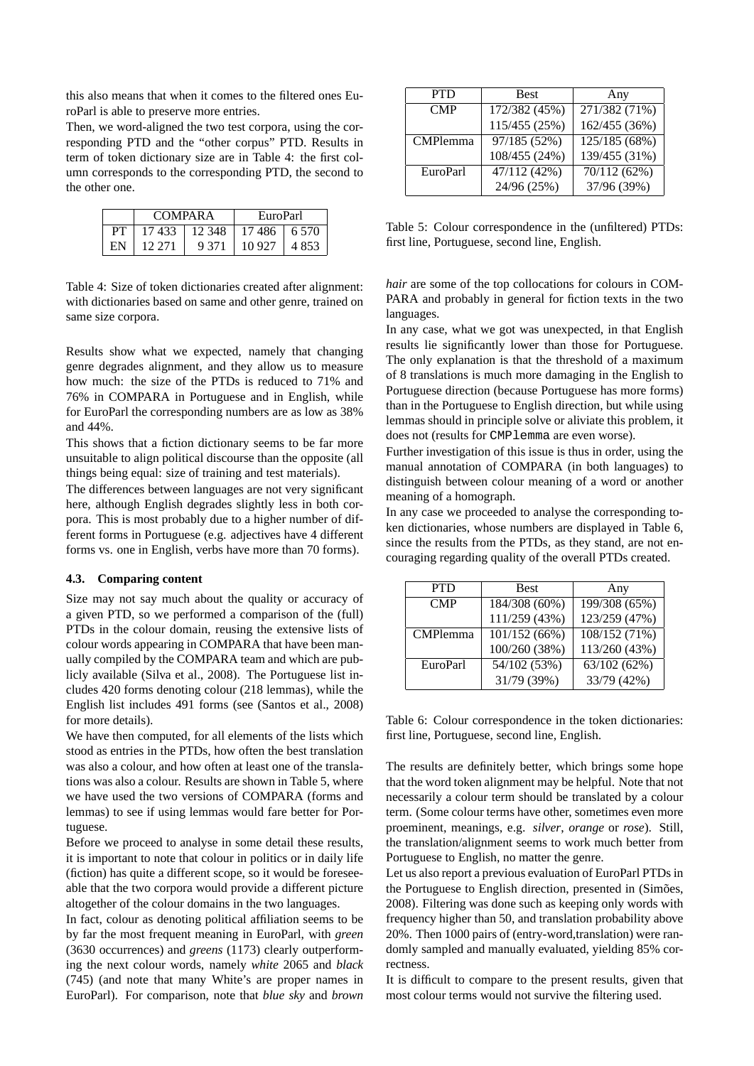this also means that when it comes to the filtered ones EuroParl is able to preserve more entries.

Then, we word-aligned the two test corpora, using the corresponding PTD and the "other corpus" PTD. Results in term of token dictionary size are in Table 4: the first column corresponds to the corresponding PTD, the second to the other one.

|     | <b>COMPARA</b>  |         | EuroParl       |  |  |
|-----|-----------------|---------|----------------|--|--|
| PT. | 17 433 1 12 348 |         | 17.486   6.570 |  |  |
| ΕN  | 12.271          | 9 3 7 1 | $10927$   4853 |  |  |

Table 4: Size of token dictionaries created after alignment: with dictionaries based on same and other genre, trained on same size corpora.

Results show what we expected, namely that changing genre degrades alignment, and they allow us to measure how much: the size of the PTDs is reduced to 71% and 76% in COMPARA in Portuguese and in English, while for EuroParl the corresponding numbers are as low as 38% and 44%.

This shows that a fiction dictionary seems to be far more unsuitable to align political discourse than the opposite (all things being equal: size of training and test materials).

The differences between languages are not very significant here, although English degrades slightly less in both corpora. This is most probably due to a higher number of different forms in Portuguese (e.g. adjectives have 4 different forms vs. one in English, verbs have more than 70 forms).

#### **4.3. Comparing content**

Size may not say much about the quality or accuracy of a given PTD, so we performed a comparison of the (full) PTDs in the colour domain, reusing the extensive lists of colour words appearing in COMPARA that have been manually compiled by the COMPARA team and which are publicly available (Silva et al., 2008). The Portuguese list includes 420 forms denoting colour (218 lemmas), while the English list includes 491 forms (see (Santos et al., 2008) for more details).

We have then computed, for all elements of the lists which stood as entries in the PTDs, how often the best translation was also a colour, and how often at least one of the translations was also a colour. Results are shown in Table 5, where we have used the two versions of COMPARA (forms and lemmas) to see if using lemmas would fare better for Portuguese.

Before we proceed to analyse in some detail these results, it is important to note that colour in politics or in daily life (fiction) has quite a different scope, so it would be foreseeable that the two corpora would provide a different picture altogether of the colour domains in the two languages.

In fact, colour as denoting political affiliation seems to be by far the most frequent meaning in EuroParl, with *green* (3630 occurrences) and *greens* (1173) clearly outperforming the next colour words, namely *white* 2065 and *black* (745) (and note that many White's are proper names in EuroParl). For comparison, note that *blue sky* and *brown*

| <b>PTD</b>      | <b>Best</b>   | Any                    |
|-----------------|---------------|------------------------|
| <b>CMP</b>      | 172/382 (45%) | $\sqrt{271}/382(71\%)$ |
|                 | 115/455 (25%) | 162/455 (36%)          |
| <b>CMPlemma</b> | 97/185 (52%)  | 125/185 (68%)          |
|                 | 108/455 (24%) | 139/455 (31%)          |
| EuroParl        | 47/112 (42%)  | 70/112 (62%)           |
|                 | 24/96 (25%)   | 37/96 (39%)            |

Table 5: Colour correspondence in the (unfiltered) PTDs: first line, Portuguese, second line, English.

*hair* are some of the top collocations for colours in COM-PARA and probably in general for fiction texts in the two languages.

In any case, what we got was unexpected, in that English results lie significantly lower than those for Portuguese. The only explanation is that the threshold of a maximum of 8 translations is much more damaging in the English to Portuguese direction (because Portuguese has more forms) than in the Portuguese to English direction, but while using lemmas should in principle solve or aliviate this problem, it does not (results for CMPlemma are even worse).

Further investigation of this issue is thus in order, using the manual annotation of COMPARA (in both languages) to distinguish between colour meaning of a word or another meaning of a homograph.

In any case we proceeded to analyse the corresponding token dictionaries, whose numbers are displayed in Table 6, since the results from the PTDs, as they stand, are not encouraging regarding quality of the overall PTDs created.

| <b>PTD</b>      | <b>Best</b>   | Any           |
|-----------------|---------------|---------------|
| CMP             | 184/308 (60%) | 199/308 (65%) |
|                 | 111/259 (43%) | 123/259 (47%) |
| <b>CMPlemma</b> | 101/152 (66%) | 108/152 (71%) |
|                 | 100/260 (38%) | 113/260 (43%) |
| EuroParl        | 54/102 (53%)  | 63/102(62%)   |
|                 | 31/79 (39%)   | 33/79 (42%)   |

Table 6: Colour correspondence in the token dictionaries: first line, Portuguese, second line, English.

The results are definitely better, which brings some hope that the word token alignment may be helpful. Note that not necessarily a colour term should be translated by a colour term. (Some colour terms have other, sometimes even more proeminent, meanings, e.g. *silver*, *orange* or *rose*). Still, the translation/alignment seems to work much better from Portuguese to English, no matter the genre.

Let us also report a previous evaluation of EuroParl PTDs in the Portuguese to English direction, presented in (Simões, 2008). Filtering was done such as keeping only words with frequency higher than 50, and translation probability above 20%. Then 1000 pairs of (entry-word,translation) were randomly sampled and manually evaluated, yielding 85% correctness.

It is difficult to compare to the present results, given that most colour terms would not survive the filtering used.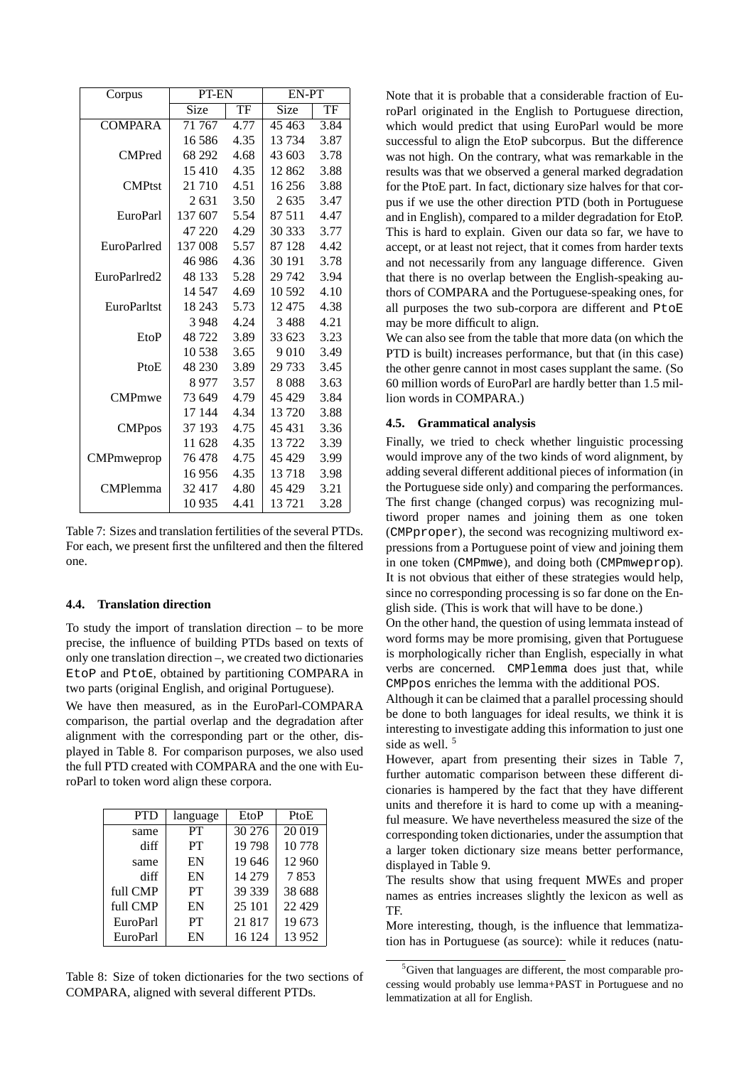| Corpus          | PT-EN                |      | EN-PT   |      |  |
|-----------------|----------------------|------|---------|------|--|
|                 | <b>Size</b>          | TF   | Size    | TF   |  |
| <b>COMPARA</b>  | $\overline{7}1\,767$ | 4.77 | 45 4 63 | 3.84 |  |
|                 | 16 58 6              | 4.35 | 13734   | 3.87 |  |
| <b>CMPred</b>   | 68 292               | 4.68 | 43 603  | 3.78 |  |
|                 | 15410                | 4.35 | 12862   | 3.88 |  |
| <b>CMPtst</b>   | 21 710               | 4.51 | 16 25 6 | 3.88 |  |
|                 | 2631                 | 3.50 | 2635    | 3.47 |  |
| EuroParl        | 137 607              | 5.54 | 87 511  | 4.47 |  |
|                 | 47 220               | 4.29 | 30 333  | 3.77 |  |
| EuroParlred     | 137 008              | 5.57 | 87 128  | 4.42 |  |
|                 | 46 986               | 4.36 | 30 191  | 3.78 |  |
| EuroParlred2    | 48 133               | 5.28 | 29 742  | 3.94 |  |
|                 | 14 5 47              | 4.69 | 10 592  | 4.10 |  |
| EuroParltst     | 18 243               | 5.73 | 12475   | 4.38 |  |
|                 | 3 9 4 8              | 4.24 | 3488    | 4.21 |  |
| EtoP            | 48722                | 3.89 | 33 623  | 3.23 |  |
|                 | 10 538               | 3.65 | 9 0 1 0 | 3.49 |  |
| PtoE            | 48 230               | 3.89 | 29 733  | 3.45 |  |
|                 | 8977                 | 3.57 | 8088    | 3.63 |  |
| <b>CMPmwe</b>   | 73 649               | 4.79 | 45 4 29 | 3.84 |  |
|                 | 17 144               | 4.34 | 13720   | 3.88 |  |
| <b>CMPpos</b>   | 37 193               | 4.75 | 45 431  | 3.36 |  |
|                 | 11 628               | 4.35 | 13722   | 3.39 |  |
| CMPmweprop      | 76478                | 4.75 | 45 429  | 3.99 |  |
|                 | 16956                | 4.35 | 13718   | 3.98 |  |
| <b>CMPlemma</b> | 32 417               | 4.80 | 45 429  | 3.21 |  |
|                 | 10 9 35              | 4.41 | 13 721  | 3.28 |  |

Table 7: Sizes and translation fertilities of the several PTDs. For each, we present first the unfiltered and then the filtered one.

#### **4.4. Translation direction**

To study the import of translation direction  $-$  to be more precise, the influence of building PTDs based on texts of only one translation direction –, we created two dictionaries EtoP and PtoE, obtained by partitioning COMPARA in two parts (original English, and original Portuguese).

We have then measured, as in the EuroParl-COMPARA comparison, the partial overlap and the degradation after alignment with the corresponding part or the other, displayed in Table 8. For comparison purposes, we also used the full PTD created with COMPARA and the one with EuroParl to token word align these corpora.

| <b>PTD</b> | language  | EtoP   | PtoE    |  |
|------------|-----------|--------|---------|--|
| same       | PT        | 30276  | 20 019  |  |
| diff       | <b>PT</b> | 19798  | 10778   |  |
| same       | EN        | 19646  | 12 960  |  |
| diff       | EN        | 14 279 | 7853    |  |
| full CMP   | PT        | 39 339 | 38 688  |  |
| full CMP   | EN        | 25 101 | 22 4 29 |  |
| EuroParl   | PT        | 21817  | 19673   |  |
| EuroParl   | EN        | 16 124 | 13952   |  |

Table 8: Size of token dictionaries for the two sections of COMPARA, aligned with several different PTDs.

Note that it is probable that a considerable fraction of EuroParl originated in the English to Portuguese direction, which would predict that using EuroParl would be more successful to align the EtoP subcorpus. But the difference was not high. On the contrary, what was remarkable in the results was that we observed a general marked degradation for the PtoE part. In fact, dictionary size halves for that corpus if we use the other direction PTD (both in Portuguese and in English), compared to a milder degradation for EtoP. This is hard to explain. Given our data so far, we have to accept, or at least not reject, that it comes from harder texts and not necessarily from any language difference. Given that there is no overlap between the English-speaking authors of COMPARA and the Portuguese-speaking ones, for all purposes the two sub-corpora are different and PtoE may be more difficult to align.

We can also see from the table that more data (on which the PTD is built) increases performance, but that (in this case) the other genre cannot in most cases supplant the same. (So 60 million words of EuroParl are hardly better than 1.5 million words in COMPARA.)

#### **4.5. Grammatical analysis**

Finally, we tried to check whether linguistic processing would improve any of the two kinds of word alignment, by adding several different additional pieces of information (in the Portuguese side only) and comparing the performances. The first change (changed corpus) was recognizing multiword proper names and joining them as one token (CMPproper), the second was recognizing multiword expressions from a Portuguese point of view and joining them in one token (CMPmwe), and doing both (CMPmweprop). It is not obvious that either of these strategies would help, since no corresponding processing is so far done on the English side. (This is work that will have to be done.)

On the other hand, the question of using lemmata instead of word forms may be more promising, given that Portuguese is morphologically richer than English, especially in what verbs are concerned. CMPlemma does just that, while CMPpos enriches the lemma with the additional POS.

Although it can be claimed that a parallel processing should be done to both languages for ideal results, we think it is interesting to investigate adding this information to just one side as well.<sup>5</sup>

However, apart from presenting their sizes in Table 7, further automatic comparison between these different dicionaries is hampered by the fact that they have different units and therefore it is hard to come up with a meaningful measure. We have nevertheless measured the size of the corresponding token dictionaries, under the assumption that a larger token dictionary size means better performance, displayed in Table 9.

The results show that using frequent MWEs and proper names as entries increases slightly the lexicon as well as TF.

More interesting, though, is the influence that lemmatization has in Portuguese (as source): while it reduces (natu-

 ${}^{5}$ Given that languages are different, the most comparable processing would probably use lemma+PAST in Portuguese and no lemmatization at all for English.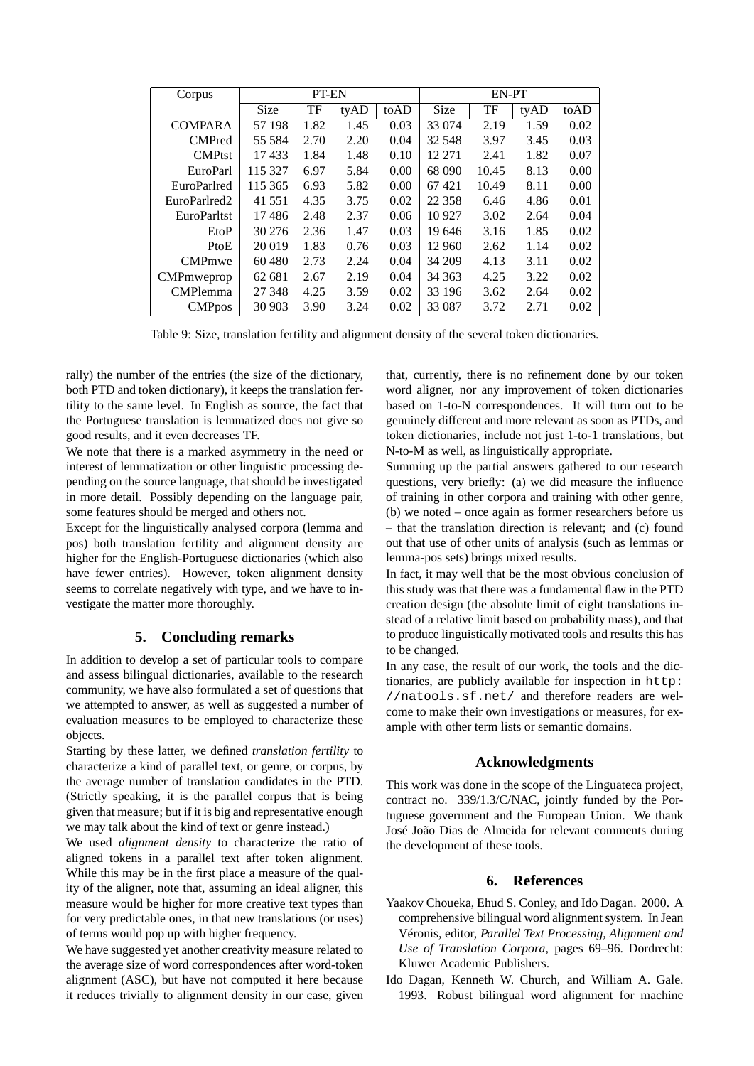| Corpus                   | PT-EN       |      |      |      | EN-PT    |       |      |      |
|--------------------------|-------------|------|------|------|----------|-------|------|------|
|                          | <b>Size</b> | TF   | tyAD | toAD | Size     | TF    | tyAD | toAD |
| <b>COMPARA</b>           | 57 198      | 1.82 | 1.45 | 0.03 | 33 074   | 2.19  | 1.59 | 0.02 |
| <b>CMPred</b>            | 55 5 84     | 2.70 | 2.20 | 0.04 | 32 548   | 3.97  | 3.45 | 0.03 |
| <b>CMPtst</b>            | 17433       | 1.84 | 1.48 | 0.10 | 12 271   | 2.41  | 1.82 | 0.07 |
| EuroParl                 | 115 327     | 6.97 | 5.84 | 0.00 | 68 090   | 10.45 | 8.13 | 0.00 |
| EuroParlred              | 115 365     | 6.93 | 5.82 | 0.00 | 67421    | 10.49 | 8.11 | 0.00 |
| EuroParlred <sub>2</sub> | 41 551      | 4.35 | 3.75 | 0.02 | 22 3 5 8 | 6.46  | 4.86 | 0.01 |
| <b>EuroParltst</b>       | 17486       | 2.48 | 2.37 | 0.06 | 10 927   | 3.02  | 2.64 | 0.04 |
| EtoP                     | 30 276      | 2.36 | 1.47 | 0.03 | 19 646   | 3.16  | 1.85 | 0.02 |
| PtoE                     | 20 019      | 1.83 | 0.76 | 0.03 | 12 960   | 2.62  | 1.14 | 0.02 |
| <b>CMPmwe</b>            | 60 480      | 2.73 | 2.24 | 0.04 | 34 209   | 4.13  | 3.11 | 0.02 |
| <b>CMP</b> mweprop       | 62 681      | 2.67 | 2.19 | 0.04 | 34 363   | 4.25  | 3.22 | 0.02 |
| <b>CMPlemma</b>          | 27 348      | 4.25 | 3.59 | 0.02 | 33 196   | 3.62  | 2.64 | 0.02 |
| <b>CMP</b> pos           | 30 903      | 3.90 | 3.24 | 0.02 | 33 087   | 3.72  | 2.71 | 0.02 |

Table 9: Size, translation fertility and alignment density of the several token dictionaries.

rally) the number of the entries (the size of the dictionary, both PTD and token dictionary), it keeps the translation fertility to the same level. In English as source, the fact that the Portuguese translation is lemmatized does not give so good results, and it even decreases TF.

We note that there is a marked asymmetry in the need or interest of lemmatization or other linguistic processing depending on the source language, that should be investigated in more detail. Possibly depending on the language pair, some features should be merged and others not.

Except for the linguistically analysed corpora (lemma and pos) both translation fertility and alignment density are higher for the English-Portuguese dictionaries (which also have fewer entries). However, token alignment density seems to correlate negatively with type, and we have to investigate the matter more thoroughly.

## **5. Concluding remarks**

In addition to develop a set of particular tools to compare and assess bilingual dictionaries, available to the research community, we have also formulated a set of questions that we attempted to answer, as well as suggested a number of evaluation measures to be employed to characterize these objects.

Starting by these latter, we defined *translation fertility* to characterize a kind of parallel text, or genre, or corpus, by the average number of translation candidates in the PTD. (Strictly speaking, it is the parallel corpus that is being given that measure; but if it is big and representative enough we may talk about the kind of text or genre instead.)

We used *alignment density* to characterize the ratio of aligned tokens in a parallel text after token alignment. While this may be in the first place a measure of the quality of the aligner, note that, assuming an ideal aligner, this measure would be higher for more creative text types than for very predictable ones, in that new translations (or uses) of terms would pop up with higher frequency.

We have suggested yet another creativity measure related to the average size of word correspondences after word-token alignment (ASC), but have not computed it here because it reduces trivially to alignment density in our case, given that, currently, there is no refinement done by our token word aligner, nor any improvement of token dictionaries based on 1-to-N correspondences. It will turn out to be genuinely different and more relevant as soon as PTDs, and token dictionaries, include not just 1-to-1 translations, but N-to-M as well, as linguistically appropriate.

Summing up the partial answers gathered to our research questions, very briefly: (a) we did measure the influence of training in other corpora and training with other genre, (b) we noted – once again as former researchers before us – that the translation direction is relevant; and (c) found out that use of other units of analysis (such as lemmas or lemma-pos sets) brings mixed results.

In fact, it may well that be the most obvious conclusion of this study was that there was a fundamental flaw in the PTD creation design (the absolute limit of eight translations instead of a relative limit based on probability mass), and that to produce linguistically motivated tools and results this has to be changed.

In any case, the result of our work, the tools and the dictionaries, are publicly available for inspection in http: //natools.sf.net/ and therefore readers are welcome to make their own investigations or measures, for example with other term lists or semantic domains.

## **Acknowledgments**

This work was done in the scope of the Linguateca project, contract no. 339/1.3/C/NAC, jointly funded by the Portuguese government and the European Union. We thank José João Dias de Almeida for relevant comments during the development of these tools.

## **6. References**

- Yaakov Choueka, Ehud S. Conley, and Ido Dagan. 2000. A comprehensive bilingual word alignment system. In Jean Véronis, editor, *Parallel Text Processing, Alignment and Use of Translation Corpora*, pages 69–96. Dordrecht: Kluwer Academic Publishers.
- Ido Dagan, Kenneth W. Church, and William A. Gale. 1993. Robust bilingual word alignment for machine